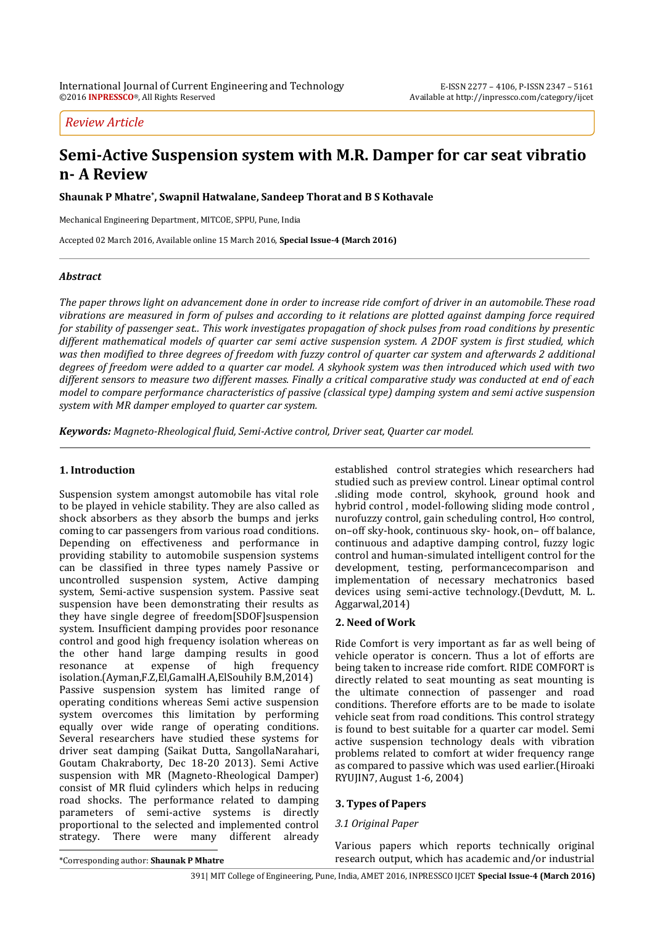# *Review Article*

# **Semi-Active Suspension system with M.R. Damper for car seat vibratio n- A Review**

**Shaunak P Mhatre\* , Swapnil Hatwalane, Sandeep Thorat and B S Kothavale**

Mechanical Engineering Department, MITCOE, SPPU, Pune, India

Accepted 02 March 2016, Available online 15 March 2016, **Special Issue-4 (March 2016)**

# *Abstract*

*The paper throws light on advancement done in order to increase ride comfort of driver in an automobile.These road vibrations are measured in form of pulses and according to it relations are plotted against damping force required for stability of passenger seat.. This work investigates propagation of shock pulses from road conditions by presentic different mathematical models of quarter car semi active suspension system. A 2DOF system is first studied, which was then modified to three degrees of freedom with fuzzy control of quarter car system and afterwards 2 additional degrees of freedom were added to a quarter car model. A skyhook system was then introduced which used with two different sensors to measure two different masses. Finally a critical comparative study was conducted at end of each model to compare performance characteristics of passive (classical type) damping system and semi active suspension system with MR damper employed to quarter car system.*

*Keywords: Magneto-Rheological fluid, Semi-Active control, Driver seat, Quarter car model.*

# **1. Introduction**

Suspension system amongst automobile has vital role to be played in vehicle stability. They are also called as shock absorbers as they absorb the bumps and jerks coming to car passengers from various road conditions. Depending on effectiveness and performance in providing stability to automobile suspension systems can be classified in three types namely Passive or uncontrolled suspension system, Active damping system, Semi-active suspension system. Passive seat suspension have been demonstrating their results as they have single degree of freedom[SDOF]suspension system. Insufficient damping provides poor resonance control and good high frequency isolation whereas on the other hand large damping results in good resonance at expense of high frequency isolation.(Ayman,F.Z,El,GamalH.A,ElSouhily B.M,2014) Passive suspension system has limited range of operating conditions whereas Semi active suspension system overcomes this limitation by performing equally over wide range of operating conditions. Several researchers have studied these systems for driver seat damping (Saikat Dutta, SangollaNarahari, Goutam Chakraborty, Dec 18-20 2013). Semi Active suspension with MR (Magneto-Rheological Damper) consist of MR fluid cylinders which helps in reducing road shocks. The performance related to damping parameters of semi-active systems is directly proportional to the selected and implemented control strategy. There were many different already  $\overline{a}$ 

established control strategies which researchers had studied such as preview control. Linear optimal control .sliding mode control, skyhook, ground hook and hybrid control , model-following sliding mode control , nurofuzzy control, gain scheduling control, H∞ control, on–off sky-hook, continuous sky- hook, on– off balance, continuous and adaptive damping control, fuzzy logic control and human-simulated intelligent control for the development, testing, performancecomparison and implementation of necessary mechatronics based devices using semi-active technology.(Devdutt, M. L. Aggarwal,2014)

# **2. Need of Work**

Ride Comfort is very important as far as well being of vehicle operator is concern. Thus a lot of efforts are being taken to increase ride comfort. RIDE COMFORT is directly related to seat mounting as seat mounting is the ultimate connection of passenger and road conditions. Therefore efforts are to be made to isolate vehicle seat from road conditions. This control strategy is found to best suitable for a quarter car model. Semi active suspension technology deals with vibration problems related to comfort at wider frequency range as compared to passive which was used earlier.(Hiroaki RYUJIN7, August 1-6, 2004)

# **3. Types of Papers**

# *3.1 Original Paper*

Various papers which reports technically original research output, which has academic and/or industrial

\*Corresponding author: **Shaunak P Mhatre**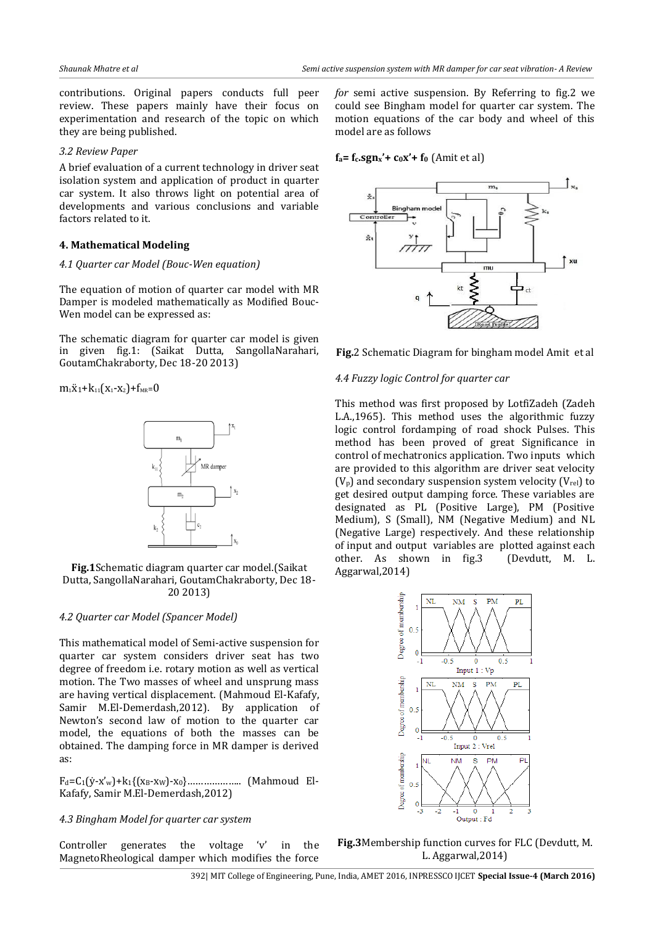contributions. Original papers conducts full peer review. These papers mainly have their focus on experimentation and research of the topic on which they are being published.

## *3.2 Review Paper*

A brief evaluation of a current technology in driver seat isolation system and application of product in quarter car system. It also throws light on potential area of developments and various conclusions and variable factors related to it.

# **4. Mathematical Modeling**

## *4.1 Quarter car Model (Bouc-Wen equation)*

The equation of motion of quarter car model with MR Damper is modeled mathematically as Modified Bouc-Wen model can be expressed as:

The schematic diagram for quarter car model is given in given fig.1: (Saikat Dutta, SangollaNarahari, GoutamChakraborty, Dec 18-20 2013)

 $m_1\ddot{x}_1+k_{11}(x_1-x_2)+f_{MR}=0$ 



**Fig.1**Schematic diagram quarter car model.(Saikat Dutta, SangollaNarahari, GoutamChakraborty, Dec 18- 20 2013)

# *4.2 Quarter car Model (Spancer Model)*

This mathematical model of Semi-active suspension for quarter car system considers driver seat has two degree of freedom i.e. rotary motion as well as vertical motion. The Two masses of wheel and unsprung mass are having vertical displacement. (Mahmoud El-Kafafy, Samir M.El-Demerdash,2012). By application of Newton's second law of motion to the quarter car model, the equations of both the masses can be obtained. The damping force in MR damper is derived as:

Fd=C1(ẏ-x'w)+k1{(xB-xW)-x0}……………….. (Mahmoud El-Kafafy, Samir M.El-Demerdash,2012)

## *4.3 Bingham Model for quarter car system*

Controller generates the voltage 'v' in the MagnetoRheological damper which modifies the force *for* semi active suspension. By Referring to fig.2 we could see Bingham model for quarter car system. The motion equations of the car body and wheel of this model are as follows

## $f_a = f_c \cdot \text{sgn}_x' + c_0 x' + f_0 \text{ (Amit et al)}$



**Fig.**2 Schematic Diagram for bingham model Amit et al

## *4.4 Fuzzy logic Control for quarter car*

This method was first proposed by LotfiZadeh (Zadeh L.A.,1965). This method uses the algorithmic fuzzy logic control fordamping of road shock Pulses. This method has been proved of great Significance in control of mechatronics application. Two inputs which are provided to this algorithm are driver seat velocity  $(V_p)$  and secondary suspension system velocity  $(V_{rel})$  to get desired output damping force. These variables are designated as PL (Positive Large), PM (Positive Medium), S (Small), NM (Negative Medium) and NL (Negative Large) respectively. And these relationship of input and output variables are plotted against each other. As shown in fig.3 (Devdutt, M. L. Aggarwal,2014)



**Fig.3**Membership function curves for FLC (Devdutt, M. L. Aggarwal,2014)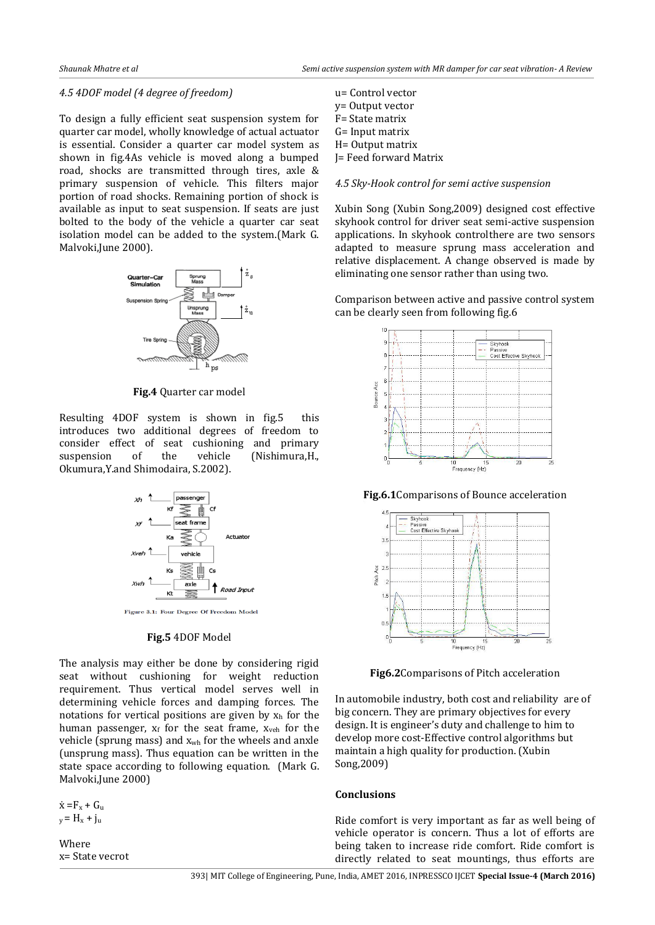## *4.5 4DOF model (4 degree of freedom)*

To design a fully efficient seat suspension system for quarter car model, wholly knowledge of actual actuator is essential. Consider a quarter car model system as shown in fig.4As vehicle is moved along a bumped road, shocks are transmitted through tires, axle & primary suspension of vehicle. This filters major portion of road shocks. Remaining portion of shock is available as input to seat suspension. If seats are just bolted to the body of the vehicle a quarter car seat isolation model can be added to the system.(Mark G. Malvoki,June 2000).



**Fig.4** Quarter car model

Resulting 4DOF system is shown in fig.5 this introduces two additional degrees of freedom to consider effect of seat cushioning and primary suspension of the vehicle (Nishimura,H., Okumura,Y.and Shimodaira, S.2002).



#### **Fig.5** 4DOF Model

The analysis may either be done by considering rigid seat without cushioning for weight reduction requirement. Thus vertical model serves well in determining vehicle forces and damping forces. The notations for vertical positions are given by  $x<sub>h</sub>$  for the human passenger,  $x_f$  for the seat frame,  $x_{veh}$  for the vehicle (sprung mass) and xwh for the wheels and anxle (unsprung mass). Thus equation can be written in the state space according to following equation. (Mark G. Malvoki,June 2000)

 $\dot{x} = F_x + G_u$  $y = H_x + j_u$ 

Where x= State vecrot

| u= Control vector      |
|------------------------|
| y= Output vector       |
| F= State matrix        |
| G= Input matrix        |
| H= Output matrix       |
| J= Feed forward Matrix |
|                        |
|                        |

## *4.5 Sky-Hook control for semi active suspension*

Xubin Song (Xubin Song,2009) designed cost effective skyhook control for driver seat semi-active suspension applications. In skyhook controlthere are two sensors adapted to measure sprung mass acceleration and relative displacement. A change observed is made by eliminating one sensor rather than using two.

Comparison between active and passive control system can be clearly seen from following fig.6



**Fig.6.1**Comparisons of Bounce acceleration



**Fig6.2**Comparisons of Pitch acceleration

In automobile industry, both cost and reliability are of big concern. They are primary objectives for every design. It is engineer's duty and challenge to him to develop more cost-Effective control algorithms but maintain a high quality for production. (Xubin Song,2009)

## **Conclusions**

Ride comfort is very important as far as well being of vehicle operator is concern. Thus a lot of efforts are being taken to increase ride comfort. Ride comfort is directly related to seat mountings, thus efforts are